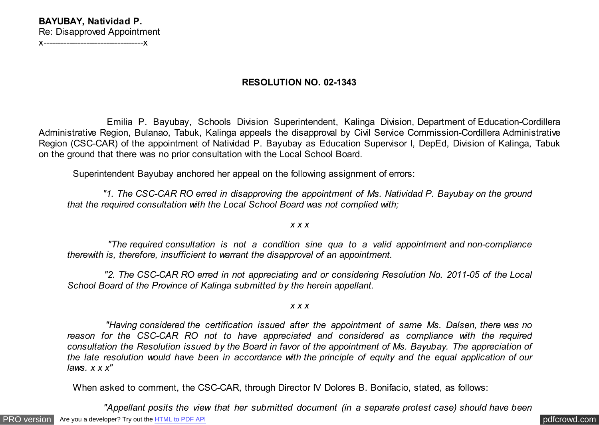## **BAYUBAY, Natividad P.** Re: Disapproved Appointment x-----------------------------------x

## **RESOLUTION NO. 02-1343**

 Emilia P. Bayubay, Schools Division Superintendent, Kalinga Division, Department of Education-Cordillera Administrative Region, Bulanao, Tabuk, Kalinga appeals the disapproval by Civil Service Commission-Cordillera Administrative Region (CSC-CAR) of the appointment of Natividad P. Bayubay as Education Supervisor I, DepEd, Division of Kalinga, Tabuk on the ground that there was no prior consultation with the Local School Board.

Superintendent Bayubay anchored her appeal on the following assignment of errors:

 *"1. The CSC-CAR RO erred in disapproving the appointment of Ms. Natividad P. Bayubay on the ground that the required consultation with the Local School Board was not complied with;*

*x x x*

 *"The required consultation is not a condition sine qua to a valid appointment and non-compliance therewith is, therefore, insufficient to warrant the disapproval of an appointment.*

 *"2. The CSC-CAR RO erred in not appreciating and or considering Resolution No. 2011-05 of the Local School Board of the Province of Kalinga submitted by the herein appellant.*

*x x x*

 *"Having considered the certification issued after the appointment of same Ms. Dalsen, there was no reason for the CSC-CAR RO not to have appreciated and considered as compliance with the required consultation the Resolution issued by the Board in favor of the appointment of Ms. Bayubay. The appreciation of the late resolution would have been in accordance with the principle of equity and the equal application of our laws. x x x"*

When asked to comment, the CSC-CAR, through Director IV Dolores B. Bonifacio, stated, as follows:

 *"Appellant posits the view that her submitted document (in a separate protest case) should have been*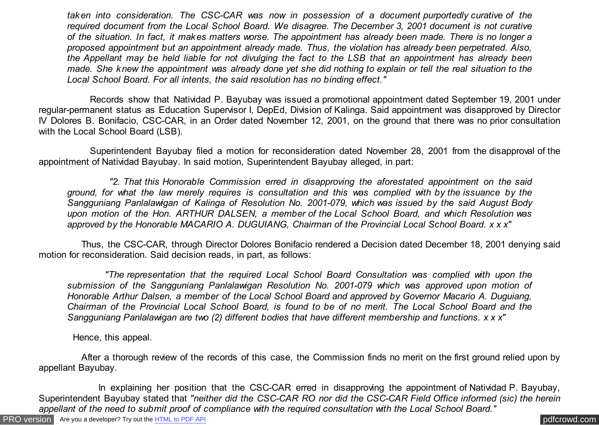*taken into consideration. The CSC-CAR was now in possession of a document purportedly curative of the required document from the Local School Board. We disagree. The December 3, 2001 document is not curative of the situation. In fact, it makes matters worse. The appointment has already been made. There is no longer a proposed appointment but an appointment already made. Thus, the violation has already been perpetrated. Also, the Appellant may be held liable for not divulging the fact to the LSB that an appointment has already been made. She knew the appointment was already done yet she did nothing to explain or tell the real situation to the Local School Board. For all intents, the said resolution has no binding effect."*

 Records show that Natividad P. Bayubay was issued a promotional appointment dated September 19, 2001 under regular-permanent status as Education Supervisor I, DepEd, Division of Kalinga. Said appointment was disapproved by Director IV Dolores B. Bonifacio, CSC-CAR, in an Order dated November 12, 2001, on the ground that there was no prior consultation with the Local School Board (LSB).

 Superintendent Bayubay filed a motion for reconsideration dated November 28, 2001 from the disapproval of the appointment of Natividad Bayubay. In said motion, Superintendent Bayubay alleged, in part:

 *"2. That this Honorable Commission erred in disapproving the aforestated appointment on the said ground, for what the law merely requires is consultation and this was complied with by the issuance by the Sangguniang Panlalawigan of Kalinga of Resolution No. 2001-079, which was issued by the said August Body upon motion of the Hon. ARTHUR DALSEN, a member of the Local School Board, and which Resolution was approved by the Honorable MACARIO A. DUGUIANG, Chairman of the Provincial Local School Board. x x x"*

 Thus, the CSC-CAR, through Director Dolores Bonifacio rendered a Decision dated December 18, 2001 denying said motion for reconsideration. Said decision reads, in part, as follows:

 *"The representation that the required Local School Board Consultation was complied with upon the submission of the Sangguniang Panlalawigan Resolution No. 2001-079 which was approved upon motion of Honorable Arthur Dalsen, a member of the Local School Board and approved by Governor Macario A. Duguiang, Chairman of the Provincial Local School Board, is found to be of no merit. The Local School Board and the Sangguniang Panlalawigan are two (2) different bodies that have different membership and functions. x x x"*

Hence, this appeal.

 After a thorough review of the records of this case, the Commission finds no merit on the first ground relied upon by appellant Bayubay.

In explaining her position that the CSC-CAR erred in disapproving the appointment of Natividad P. Bayubay, Superintendent Bayubay stated that *"neither did the CSC-CAR RO nor did the CSC-CAR Field Office informed (sic) the herein appellant of the need to submit proof of compliance with the required consultation with the Local School Board."*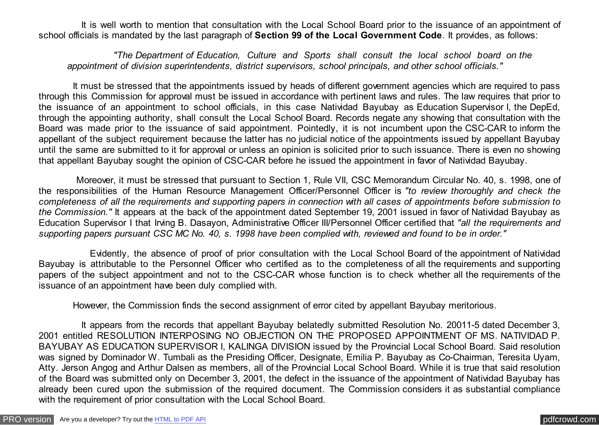It is well worth to mention that consultation with the Local School Board prior to the issuance of an appointment of school officials is mandated by the last paragraph of **Section 99 of the Local Government Code**. It provides, as follows:

 *"The Department of Education, Culture and Sports shall consult the local school board on the appointment of division superintendents, district supervisors, school principals, and other school officials."*

 It must be stressed that the appointments issued by heads of different government agencies which are required to pass through this Commission for approval must be issued in accordance with pertinent laws and rules. The law requires that prior to the issuance of an appointment to school officials, in this case Natividad Bayubay as Education Supervisor I, the DepEd, through the appointing authority, shall consult the Local School Board. Records negate any showing that consultation with the Board was made prior to the issuance of said appointment. Pointedly, it is not incumbent upon the CSC-CAR to inform the appellant of the subject requirement because the latter has no judicial notice of the appointments issued by appellant Bayubay until the same are submitted to it for approval or unless an opinion is solicited prior to such issuance. There is even no showing that appellant Bayubay sought the opinion of CSC-CAR before he issued the appointment in favor of Natividad Bayubay.

 Moreover, it must be stressed that pursuant to Section 1, Rule VII, CSC Memorandum Circular No. 40, s. 1998, one of the responsibilities of the Human Resource Management Officer/Personnel Officer is *"to review thoroughly and check the completeness of all the requirements and supporting papers in connection with all cases of appointments before submission to the Commission."* It appears at the back of the appointment dated September 19, 2001 issued in favor of Natividad Bayubay as Education Supervisor I that Irving B. Dasayon, Administrative Officer III/Personnel Officer certified that *"all the requirements and supporting papers pursuant CSC MC No. 40, s. 1998 have been complied with, reviewed and found to be in order."*

 Evidently, the absence of proof of prior consultation with the Local School Board of the appointment of Natividad Bayubay is attributable to the Personnel Officer who certified as to the completeness of all the requirements and supporting papers of the subject appointment and not to the CSC-CAR whose function is to check whether all the requirements of the issuance of an appointment have been duly complied with.

However, the Commission finds the second assignment of error cited by appellant Bayubay meritorious.

 It appears from the records that appellant Bayubay belatedly submitted Resolution No. 20011-5 dated December 3, 2001 entitled RESOLUTION INTERPOSING NO OBJECTION ON THE PROPOSED APPOINTMENT OF MS. NATIVIDAD P. BAYUBAY AS EDUCATION SUPERVISOR I, KALINGA DIVISION issued by the Provincial Local School Board. Said resolution was signed by Dominador W. Tumbali as the Presiding Officer, Designate, Emilia P. Bayubay as Co-Chairman, Teresita Uyam, Atty. Jerson Angog and Arthur Dalsen as members, all of the Provincial Local School Board. While it is true that said resolution of the Board was submitted only on December 3, 2001, the defect in the issuance of the appointment of Natividad Bayubay has already been cured upon the submission of the required document. The Commission considers it as substantial compliance with the requirement of prior consultation with the Local School Board.